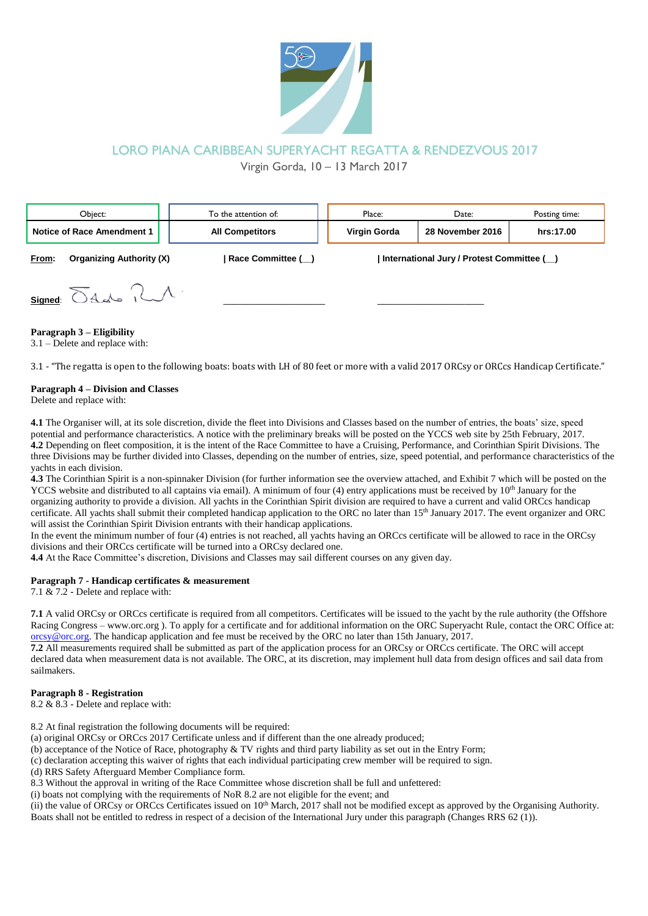

# LORO PIANA CARIBBEAN SUPERYACHT REGATTA & RENDEZVOUS 2017

Virgin Gorda, 10 – 13 March 2017

| Obiect:                    |                                 | To the attention of:   | Place:                                    | Date:            | Posting time: |
|----------------------------|---------------------------------|------------------------|-------------------------------------------|------------------|---------------|
| Notice of Race Amendment 1 |                                 | <b>All Competitors</b> | Virgin Gorda                              | 28 November 2016 | hrs:17.00     |
| From:                      | <b>Organizing Authority (X)</b> | Race Committee ()      | International Jury / Protest Committee () |                  |               |
|                            | $Signed$ $S445$ $M$             |                        |                                           |                  |               |

### **Paragraph 3 – Eligibility**

3.1 – Delete and replace with:

3.1 - "The regatta is open to the following boats: boats with LH of 80 feet or more with a valid 2017 ORCsy or ORCcs Handicap Certificate."

### **Paragraph 4 – Division and Classes**

Delete and replace with:

**4.1** The Organiser will, at its sole discretion, divide the fleet into Divisions and Classes based on the number of entries, the boats' size, speed potential and performance characteristics. A notice with the preliminary breaks will be posted on the YCCS web site by 25th February, 2017. **4.2** Depending on fleet composition, it is the intent of the Race Committee to have a Cruising, Performance, and Corinthian Spirit Divisions. The three Divisions may be further divided into Classes, depending on the number of entries, size, speed potential, and performance characteristics of the yachts in each division.

**4.3** The Corinthian Spirit is a non-spinnaker Division (for further information see the overview attached, and Exhibit 7 which will be posted on the YCCS website and distributed to all captains via email). A minimum of four (4) entry applications must be received by 10<sup>th</sup> January for the organizing authority to provide a division. All yachts in the Corinthian Spirit division are required to have a current and valid ORCcs handicap certificate. All yachts shall submit their completed handicap application to the ORC no later than 15th January 2017. The event organizer and ORC will assist the Corinthian Spirit Division entrants with their handicap applications.

In the event the minimum number of four (4) entries is not reached, all yachts having an ORCcs certificate will be allowed to race in the ORCsy divisions and their ORCcs certificate will be turned into a ORCsy declared one.

**4.4** At the Race Committee's discretion, Divisions and Classes may sail different courses on any given day.

#### **Paragraph 7 - Handicap certificates & measurement**

7.1  $\&$  7.2 - Delete and replace with:

**7.1** A valid ORCsy or ORCcs certificate is required from all competitors. Certificates will be issued to the yacht by the rule authority (the Offshore Racing Congress – www.orc.org ). To apply for a certificate and for additional information on the ORC Superyacht Rule, contact the ORC Office at: [orcsy@orc.org.](mailto:orcsy@orc.org) The handicap application and fee must be received by the ORC no later than 15th January, 2017.

**7.2** All measurements required shall be submitted as part of the application process for an ORCsy or ORCcs certificate. The ORC will accept declared data when measurement data is not available. The ORC, at its discretion, may implement hull data from design offices and sail data from sailmakers.

### **Paragraph 8 - Registration**

 $8.2 \& 8.3$  - Delete and replace with:

8.2 At final registration the following documents will be required:

(a) original ORCsy or ORCcs 2017 Certificate unless and if different than the one already produced;

(b) acceptance of the Notice of Race, photography & TV rights and third party liability as set out in the Entry Form;

(c) declaration accepting this waiver of rights that each individual participating crew member will be required to sign.

(d) RRS Safety Afterguard Member Compliance form.

8.3 Without the approval in writing of the Race Committee whose discretion shall be full and unfettered:

(i) boats not complying with the requirements of NoR 8.2 are not eligible for the event; and

(ii) the value of ORCsy or ORCcs Certificates issued on  $10<sup>th</sup>$  March, 2017 shall not be modified except as approved by the Organising Authority. Boats shall not be entitled to redress in respect of a decision of the International Jury under this paragraph (Changes RRS 62 (1)).